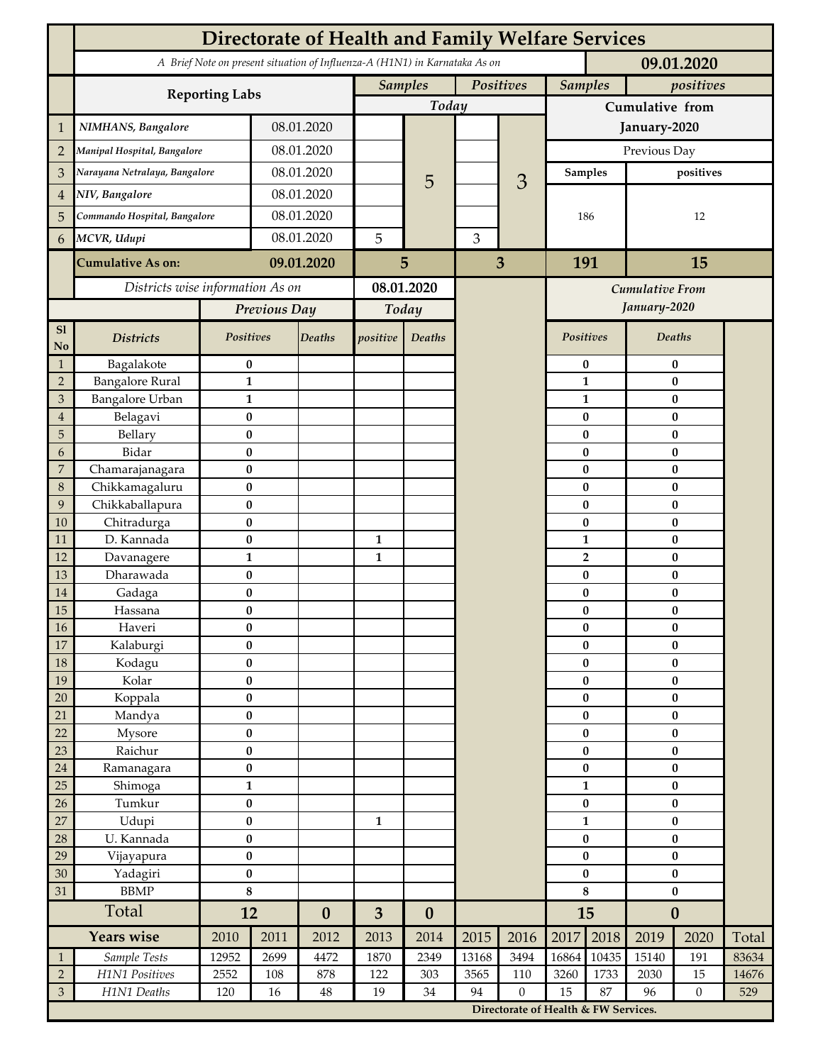|                                                                            | <b>Directorate of Health and Family Welfare Services</b> |                        |            |                  |                             |                  |       |                                      |                        |                       |                        |                      |       |  |
|----------------------------------------------------------------------------|----------------------------------------------------------|------------------------|------------|------------------|-----------------------------|------------------|-------|--------------------------------------|------------------------|-----------------------|------------------------|----------------------|-------|--|
| A Brief Note on present situation of Influenza-A (H1N1) in Karnataka As on |                                                          |                        |            |                  |                             |                  |       |                                      |                        |                       | 09.01.2020             |                      |       |  |
|                                                                            |                                                          |                        |            |                  | <b>Samples</b><br>Positives |                  |       | <b>Samples</b><br>positives          |                        |                       |                        |                      |       |  |
|                                                                            | <b>Reporting Labs</b>                                    |                        |            |                  |                             | Today            |       |                                      | Cumulative from        |                       |                        |                      |       |  |
| 1                                                                          | NIMHANS, Bangalore                                       | 08.01.2020             |            |                  |                             |                  |       | January-2020                         |                        |                       |                        |                      |       |  |
| $\overline{2}$                                                             | Manipal Hospital, Bangalore                              |                        | 08.01.2020 |                  |                             |                  |       |                                      | Previous Day           |                       |                        |                      |       |  |
| 3                                                                          | Narayana Netralaya, Bangalore                            |                        |            | 08.01.2020       |                             |                  |       |                                      |                        | <b>Samples</b>        | positives              |                      |       |  |
| $\overline{4}$                                                             | NIV, Bangalore                                           |                        | 08.01.2020 |                  |                             | 5                |       | 3                                    | 186                    |                       | 12                     |                      |       |  |
| 5                                                                          | Commando Hospital, Bangalore                             |                        | 08.01.2020 |                  |                             |                  |       |                                      |                        |                       |                        |                      |       |  |
| 6                                                                          | MCVR, Udupi                                              |                        | 08.01.2020 |                  | 5                           |                  | 3     |                                      |                        |                       |                        |                      |       |  |
|                                                                            | <b>Cumulative As on:</b>                                 |                        |            | 09.01.2020       |                             | 5                |       | 3                                    |                        | 191                   |                        | 15                   |       |  |
|                                                                            | Districts wise information As on                         |                        |            | 08.01.2020       |                             |                  |       |                                      |                        |                       |                        |                      |       |  |
|                                                                            |                                                          | Previous Day           |            | Today            |                             |                  |       | Cumulative From<br>January-2020      |                        |                       |                        |                      |       |  |
| S1                                                                         |                                                          |                        |            |                  |                             |                  |       |                                      |                        |                       |                        |                      |       |  |
| No                                                                         | <b>Districts</b>                                         | Positives              |            | Deaths           | positive                    | Deaths           |       |                                      |                        | Positives             |                        | Deaths               |       |  |
| $\mathbf{1}$                                                               | Bagalakote                                               | $\bf{0}$               |            |                  |                             |                  |       |                                      |                        | $\pmb{0}$             | $\pmb{0}$              |                      |       |  |
| $\overline{2}$                                                             | <b>Bangalore Rural</b>                                   | $\mathbf{1}$           |            |                  |                             |                  |       | $\mathbf{1}$                         | $\pmb{0}$              |                       |                        |                      |       |  |
| 3                                                                          | <b>Bangalore Urban</b>                                   | $\mathbf{1}$           |            |                  |                             |                  |       |                                      |                        | $\mathbf{1}$<br>0     |                        | $\bf{0}$             |       |  |
| $\overline{4}$<br>$\mathbf 5$                                              | Belagavi<br>Bellary                                      | $\bf{0}$<br>$\bf{0}$   |            |                  |                             |                  |       |                                      |                        | $\bf{0}$              | $\bf{0}$<br>$\bf{0}$   |                      |       |  |
| 6                                                                          | Bidar                                                    | $\bf{0}$               |            |                  |                             |                  |       |                                      |                        | $\bf{0}$              |                        | $\bf{0}$             |       |  |
| $\overline{7}$                                                             | Chamarajanagara                                          | $\bf{0}$               |            |                  |                             |                  |       |                                      |                        | $\bf{0}$              | $\bf{0}$               |                      |       |  |
| 8                                                                          | Chikkamagaluru                                           | $\bf{0}$               |            |                  |                             |                  |       |                                      |                        | 0                     |                        | $\bf{0}$             |       |  |
| 9                                                                          | Chikkaballapura                                          | $\bf{0}$               |            |                  |                             |                  |       |                                      |                        | 0                     |                        | $\bf{0}$             |       |  |
| 10<br>11                                                                   | Chitradurga<br>D. Kannada                                | $\bf{0}$<br>$\bf{0}$   |            |                  | $\mathbf{1}$                |                  |       |                                      |                        | 0<br>$\mathbf{1}$     |                        | $\bf{0}$<br>$\bf{0}$ |       |  |
| 12                                                                         | Davanagere                                               | $\mathbf{1}$           |            |                  | 1                           |                  |       |                                      |                        | $\overline{2}$        |                        | $\pmb{0}$            |       |  |
| 13                                                                         | Dharawada                                                | $\pmb{0}$              |            |                  |                             |                  |       |                                      |                        | $\bf{0}$              |                        | $\bf{0}$             |       |  |
| 14                                                                         | Gadaga                                                   | $\bf{0}$               |            |                  |                             |                  |       |                                      |                        | 0                     |                        | $\bf{0}$             |       |  |
| 15                                                                         | Hassana                                                  | $\bf{0}$               |            |                  |                             |                  |       |                                      |                        | 0                     | $\pmb{0}$              |                      |       |  |
| $16\,$                                                                     | Haveri                                                   | $\pmb{0}$              |            |                  |                             |                  |       |                                      |                        | $\pmb{0}$             |                        | $\pmb{0}$            |       |  |
| $17\,$<br>18                                                               | Kalaburgi<br>Kodagu                                      | $\bf{0}$<br>$\pmb{0}$  |            |                  |                             |                  |       |                                      |                        | $\bf{0}$<br>$\pmb{0}$ | $\bf{0}$<br>$\pmb{0}$  |                      |       |  |
| 19                                                                         | Kolar                                                    | $\pmb{0}$              |            |                  |                             |                  |       |                                      |                        | $\pmb{0}$             | $\pmb{0}$              |                      |       |  |
| 20                                                                         | Koppala                                                  | $\pmb{0}$              |            |                  |                             |                  |       |                                      | $\pmb{0}$              |                       | $\pmb{0}$              |                      |       |  |
| 21                                                                         | Mandya                                                   | $\bf{0}$               |            |                  |                             |                  |       |                                      | $\bf{0}$               |                       | $\pmb{0}$              |                      |       |  |
| 22                                                                         | Mysore                                                   | $\pmb{0}$              |            |                  |                             |                  |       |                                      | $\bf{0}$               |                       | $\pmb{0}$              |                      |       |  |
| 23<br>$24\,$                                                               | Raichur<br>Ramanagara                                    | $\pmb{0}$<br>$\pmb{0}$ |            |                  |                             |                  |       |                                      | $\pmb{0}$<br>$\pmb{0}$ |                       | $\pmb{0}$<br>$\pmb{0}$ |                      |       |  |
| 25                                                                         | Shimoga                                                  | $\mathbf{1}$           |            |                  |                             |                  |       |                                      | $\mathbf{1}$           |                       | $\bf{0}$               |                      |       |  |
| 26                                                                         | Tumkur                                                   | $\bf{0}$               |            |                  |                             |                  |       |                                      | $\pmb{0}$              |                       | $\pmb{0}$              |                      |       |  |
| 27                                                                         | Udupi                                                    | $\pmb{0}$              |            |                  | $\mathbf{1}$                |                  |       |                                      | $\mathbf{1}$           |                       | $\pmb{0}$              |                      |       |  |
| 28                                                                         | U. Kannada                                               | $\bf{0}$               |            |                  |                             |                  |       |                                      |                        | $\pmb{0}$             |                        | $\bf{0}$             |       |  |
| 29                                                                         | Vijayapura                                               | $\pmb{0}$              |            |                  |                             |                  |       |                                      | $\pmb{0}$              |                       | $\pmb{0}$              |                      |       |  |
| 30<br>31                                                                   | Yadagiri<br><b>BBMP</b>                                  | $\pmb{0}$<br>$\bf 8$   |            |                  |                             |                  |       |                                      | $\pmb{0}$<br>$\bf 8$   |                       | $\pmb{0}$<br>$\pmb{0}$ |                      |       |  |
|                                                                            | Total                                                    | 12                     |            | $\boldsymbol{0}$ | $\overline{\mathbf{3}}$     | $\boldsymbol{0}$ |       |                                      |                        | 15                    |                        | $\boldsymbol{0}$     |       |  |
|                                                                            | <b>Years wise</b>                                        | 2010<br>2011           |            | 2012             | 2013                        | 2014             | 2015  | 2016                                 | 2017                   | 2018                  | 2019                   | 2020                 | Total |  |
| $\mathbf{1}$                                                               | Sample Tests                                             | 12952                  | 2699       | 4472             | 1870                        | 2349             | 13168 | 3494                                 | 16864                  | 10435                 | 15140                  | 191                  | 83634 |  |
| $\sqrt{2}$                                                                 | H1N1 Positives                                           | 2552                   | 108        | 878              | 122                         | 303              | 3565  | 110                                  | 3260                   | 1733                  | 2030                   | 15                   | 14676 |  |
| $\ensuremath{\mathfrak{Z}}$                                                | H1N1 Deaths                                              | 120                    | 16         | 48               | 19                          | $34\,$           | 94    | $\boldsymbol{0}$                     | 15                     | 87                    | 96                     | $\theta$             | 529   |  |
|                                                                            |                                                          |                        |            |                  |                             |                  |       | Directorate of Health & FW Services. |                        |                       |                        |                      |       |  |